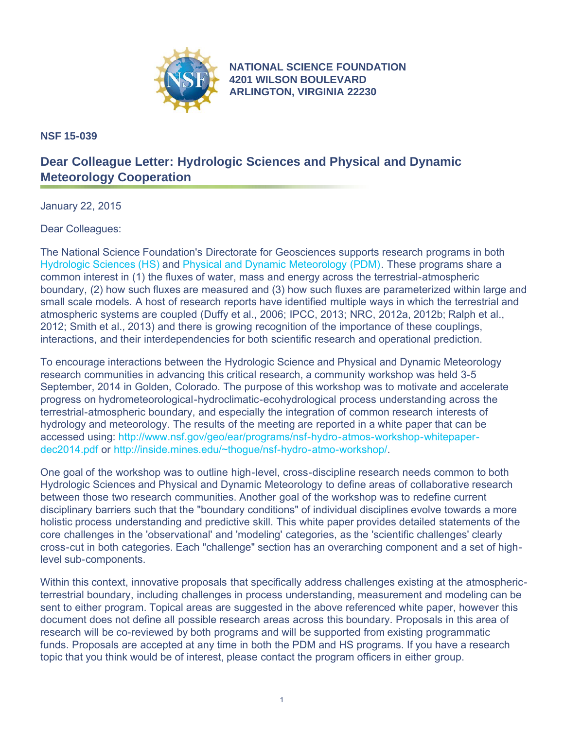

**[NATIONAL SCIENCE FOUNDATION](http://www.nsf.gov) 4201 WILSON BOULEVARD ARLINGTON, VIRGINIA 22230**

**NSF 15-039**

## **Dear Colleague Letter: Hydrologic Sciences and Physical and Dynamic Meteorology Cooperation**

January 22, 2015

Dear Colleagues:

The National Science Foundation's Directorate for Geosciences supports research programs in both [Hydrologic Sciences \(HS\)](http://www.nsf.gov/funding/pgm_summ.jsp?pims_id=13684) and [Physical and Dynamic Meteorology \(PDM\)](http://www.nsf.gov/funding/pgm_summ.jsp?pims_id=12728). These programs share a common interest in (1) the fluxes of water, mass and energy across the terrestrial-atmospheric boundary, (2) how such fluxes are measured and (3) how such fluxes are parameterized within large and small scale models. A host of research reports have identified multiple ways in which the terrestrial and atmospheric systems are coupled (Duffy et al., 2006; IPCC, 2013; NRC, 2012a, 2012b; Ralph et al., 2012; Smith et al., 2013) and there is growing recognition of the importance of these couplings, interactions, and their interdependencies for both scientific research and operational prediction.

To encourage interactions between the Hydrologic Science and Physical and Dynamic Meteorology research communities in advancing this critical research, a community workshop was held 3-5 September, 2014 in Golden, Colorado. The purpose of this workshop was to motivate and accelerate progress on hydrometeorological-hydroclimatic-ecohydrological process understanding across the terrestrial-atmospheric boundary, and especially the integration of common research interests of hydrology and meteorology. The results of the meeting are reported in a white paper that can be accessed using: [http://www.nsf.gov/geo/ear/programs/nsf-hydro-atmos-workshop-whitepaper](http://www.nsf.gov/geo/ear/programs/nsf-hydro-atmos-workshop-whitepaper-dec2014.pdf)[dec2014.pdf](http://www.nsf.gov/geo/ear/programs/nsf-hydro-atmos-workshop-whitepaper-dec2014.pdf) or [http://inside.mines.edu/~thogue/nsf-hydro-atmo-workshop/.](http://www.nsf.gov/cgi-bin/goodbye?http://inside.mines.edu/~thogue/nsf-hydro-atmo-workshop/)

One goal of the workshop was to outline high-level, cross-discipline research needs common to both Hydrologic Sciences and Physical and Dynamic Meteorology to define areas of collaborative research between those two research communities. Another goal of the workshop was to redefine current disciplinary barriers such that the "boundary conditions" of individual disciplines evolve towards a more holistic process understanding and predictive skill. This white paper provides detailed statements of the core challenges in the 'observational' and 'modeling' categories, as the 'scientific challenges' clearly cross-cut in both categories. Each "challenge" section has an overarching component and a set of highlevel sub-components.

Within this context, innovative proposals that specifically address challenges existing at the atmosphericterrestrial boundary, including challenges in process understanding, measurement and modeling can be sent to either program. Topical areas are suggested in the above referenced white paper, however this document does not define all possible research areas across this boundary. Proposals in this area of research will be co-reviewed by both programs and will be supported from existing programmatic funds. Proposals are accepted at any time in both the PDM and HS programs. If you have a research topic that you think would be of interest, please contact the program officers in either group.